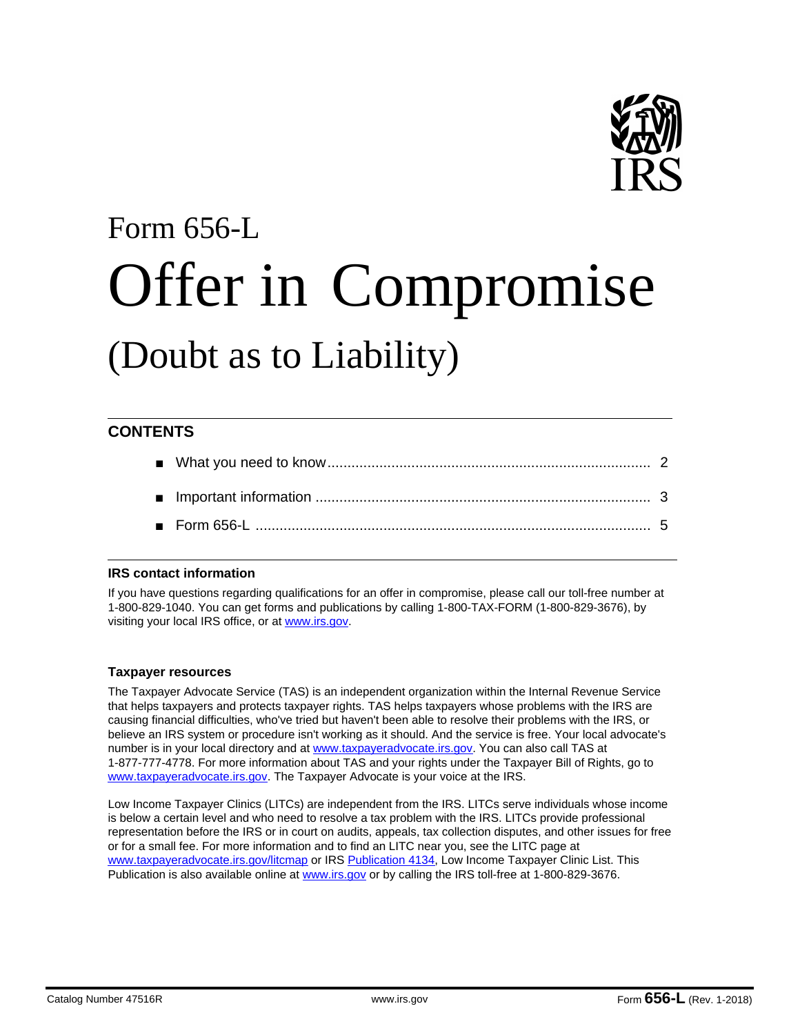

# Form 656-L Offer in Compromise (Doubt as to Liability)

# **CONTENTS**

# **IRS contact information**

If you have questions regarding qualifications for an offer in compromise, please call our toll-free number at 1-800-829-1040. You can get forms and publications by calling 1-800-TAX-FORM (1-800-829-3676), by visiting your local IRS office, or at www.irs.gov.

# **Taxpayer resources**

The Taxpayer Advocate Service (TAS) is an independent organization within the Internal Revenue Service that helps taxpayers and protects taxpayer rights. TAS helps taxpayers whose problems with the IRS are causing financial difficulties, who've tried but haven't been able to resolve their problems with the IRS, or believe an IRS system or procedure isn't working as it should. And the service is free. Your local advocate's number is in your local directory and at www.taxpayeradvocate.irs.gov. You can also call TAS at 1-877-777-4778. For more information about TAS and your rights under the Taxpayer Bill of Rights, go to www.taxpayeradvocate.irs.gov. The Taxpayer Advocate is your voice at the IRS.

Low Income Taxpayer Clinics (LITCs) are independent from the IRS. LITCs serve individuals whose income is below a certain level and who need to resolve a tax problem with the IRS. LITCs provide professional representation before the IRS or in court on audits, appeals, tax collection disputes, and other issues for free or for a small fee. For more information and to find an LITC near you, see the LITC page at www.taxpayeradvocate.irs.gov/litcmap or IRS Publication 4134, Low Income Taxpayer Clinic List. This Publication is also available online at www.irs.gov or by calling the IRS toll-free at 1-800-829-3676.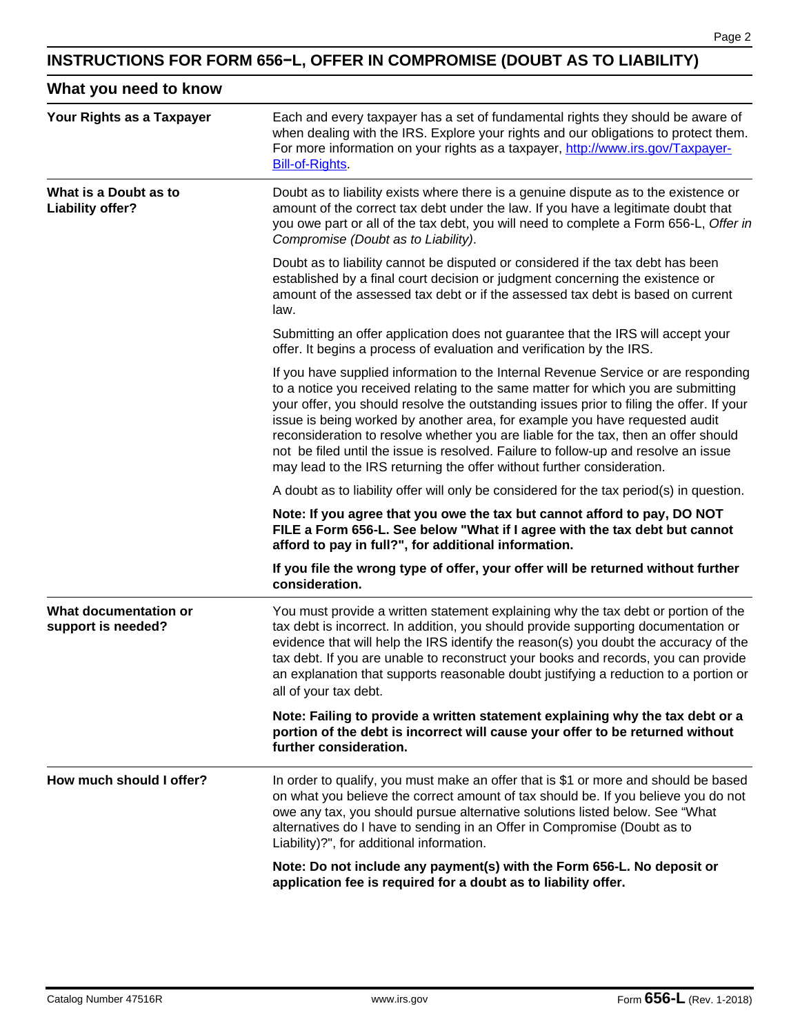# **INSTRUCTIONS FOR FORM 656−L, OFFER IN COMPROMISE (DOUBT AS TO LIABILITY)**

| What you need to know |  |  |  |
|-----------------------|--|--|--|
|-----------------------|--|--|--|

| Your Rights as a Taxpayer                   | Each and every taxpayer has a set of fundamental rights they should be aware of<br>when dealing with the IRS. Explore your rights and our obligations to protect them.<br>For more information on your rights as a taxpayer, http://www.irs.gov/Taxpayer-<br><b>Bill-of-Rights</b>                                                                                                                                                                                                                                                                                                                         |  |  |
|---------------------------------------------|------------------------------------------------------------------------------------------------------------------------------------------------------------------------------------------------------------------------------------------------------------------------------------------------------------------------------------------------------------------------------------------------------------------------------------------------------------------------------------------------------------------------------------------------------------------------------------------------------------|--|--|
| What is a Doubt as to<br>Liability offer?   | Doubt as to liability exists where there is a genuine dispute as to the existence or<br>amount of the correct tax debt under the law. If you have a legitimate doubt that<br>you owe part or all of the tax debt, you will need to complete a Form 656-L, Offer in<br>Compromise (Doubt as to Liability).                                                                                                                                                                                                                                                                                                  |  |  |
|                                             | Doubt as to liability cannot be disputed or considered if the tax debt has been<br>established by a final court decision or judgment concerning the existence or<br>amount of the assessed tax debt or if the assessed tax debt is based on current<br>law.                                                                                                                                                                                                                                                                                                                                                |  |  |
|                                             | Submitting an offer application does not guarantee that the IRS will accept your<br>offer. It begins a process of evaluation and verification by the IRS.                                                                                                                                                                                                                                                                                                                                                                                                                                                  |  |  |
|                                             | If you have supplied information to the Internal Revenue Service or are responding<br>to a notice you received relating to the same matter for which you are submitting<br>your offer, you should resolve the outstanding issues prior to filing the offer. If your<br>issue is being worked by another area, for example you have requested audit<br>reconsideration to resolve whether you are liable for the tax, then an offer should<br>not be filed until the issue is resolved. Failure to follow-up and resolve an issue<br>may lead to the IRS returning the offer without further consideration. |  |  |
|                                             | A doubt as to liability offer will only be considered for the tax period(s) in question.                                                                                                                                                                                                                                                                                                                                                                                                                                                                                                                   |  |  |
|                                             | Note: If you agree that you owe the tax but cannot afford to pay, DO NOT<br>FILE a Form 656-L. See below "What if I agree with the tax debt but cannot<br>afford to pay in full?", for additional information.                                                                                                                                                                                                                                                                                                                                                                                             |  |  |
|                                             | If you file the wrong type of offer, your offer will be returned without further<br>consideration.                                                                                                                                                                                                                                                                                                                                                                                                                                                                                                         |  |  |
| What documentation or<br>support is needed? | You must provide a written statement explaining why the tax debt or portion of the<br>tax debt is incorrect. In addition, you should provide supporting documentation or<br>evidence that will help the IRS identify the reason(s) you doubt the accuracy of the<br>tax debt. If you are unable to reconstruct your books and records, you can provide<br>an explanation that supports reasonable doubt justifying a reduction to a portion or<br>all of your tax debt.                                                                                                                                    |  |  |
|                                             | Note: Failing to provide a written statement explaining why the tax debt or a<br>portion of the debt is incorrect will cause your offer to be returned without<br>further consideration.                                                                                                                                                                                                                                                                                                                                                                                                                   |  |  |
| How much should I offer?                    | In order to qualify, you must make an offer that is \$1 or more and should be based<br>on what you believe the correct amount of tax should be. If you believe you do not<br>owe any tax, you should pursue alternative solutions listed below. See "What<br>alternatives do I have to sending in an Offer in Compromise (Doubt as to<br>Liability)?", for additional information.                                                                                                                                                                                                                         |  |  |
|                                             | Note: Do not include any payment(s) with the Form 656-L. No deposit or<br>application fee is required for a doubt as to liability offer.                                                                                                                                                                                                                                                                                                                                                                                                                                                                   |  |  |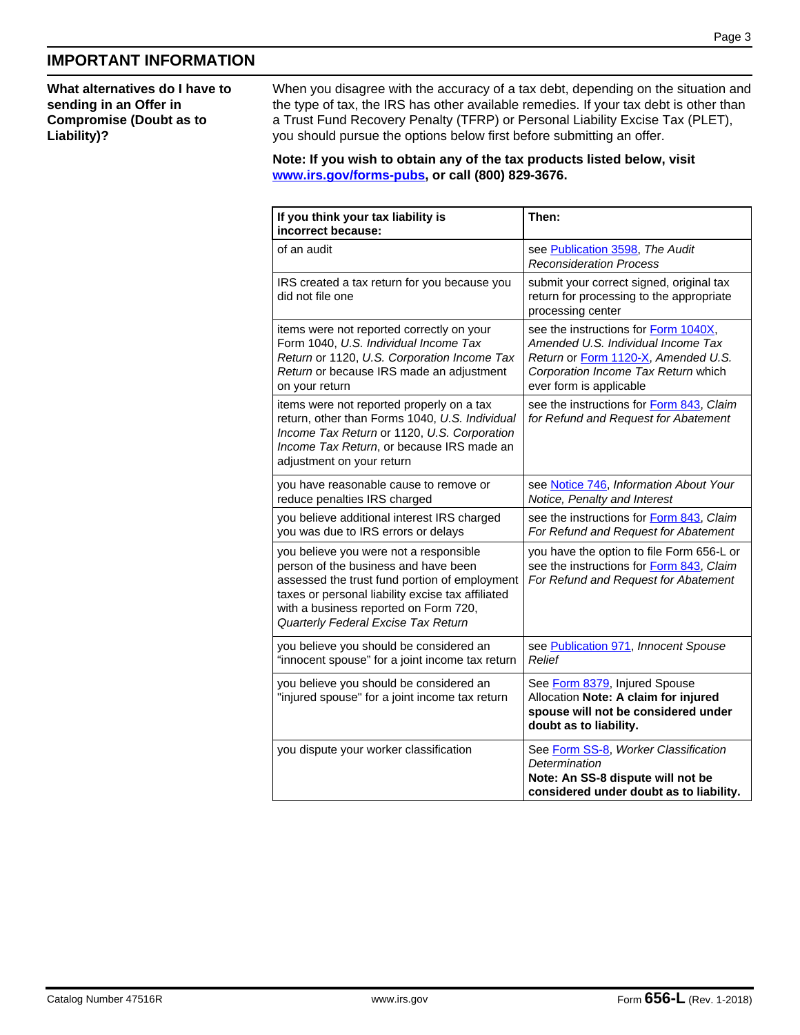# **IMPORTANT INFORMATION**

**What alternatives do I have to sending in an Offer in Compromise (Doubt as to Liability)?**

When you disagree with the accuracy of a tax debt, depending on the situation and the type of tax, the IRS has other available remedies. If your tax debt is other than a Trust Fund Recovery Penalty (TFRP) or Personal Liability Excise Tax (PLET), you should pursue the options below first before submitting an offer.

**Note: If you wish to obtain any of the tax products listed below, visit www.irs.gov/forms-pubs, or call (800) 829-3676.**

| If you think your tax liability is<br>incorrect because:                                                                                                                                                                                                             | Then:                                                                                                                                                                               |
|----------------------------------------------------------------------------------------------------------------------------------------------------------------------------------------------------------------------------------------------------------------------|-------------------------------------------------------------------------------------------------------------------------------------------------------------------------------------|
| of an audit                                                                                                                                                                                                                                                          | see Publication 3598, The Audit<br><b>Reconsideration Process</b>                                                                                                                   |
| IRS created a tax return for you because you<br>did not file one                                                                                                                                                                                                     | submit your correct signed, original tax<br>return for processing to the appropriate<br>processing center                                                                           |
| items were not reported correctly on your<br>Form 1040, U.S. Individual Income Tax<br>Return or 1120, U.S. Corporation Income Tax<br>Return or because IRS made an adjustment<br>on your return                                                                      | see the instructions for Form 1040X,<br>Amended U.S. Individual Income Tax<br>Return or Form 1120-X, Amended U.S.<br>Corporation Income Tax Return which<br>ever form is applicable |
| items were not reported properly on a tax<br>return, other than Forms 1040, U.S. Individual<br>Income Tax Return or 1120, U.S. Corporation<br>Income Tax Return, or because IRS made an<br>adjustment on your return                                                 | see the instructions for Form 843, Claim<br>for Refund and Request for Abatement                                                                                                    |
| you have reasonable cause to remove or<br>reduce penalties IRS charged                                                                                                                                                                                               | see Notice 746, Information About Your<br>Notice, Penalty and Interest                                                                                                              |
| you believe additional interest IRS charged<br>you was due to IRS errors or delays                                                                                                                                                                                   | see the instructions for Form 843, Claim<br>For Refund and Request for Abatement                                                                                                    |
| you believe you were not a responsible<br>person of the business and have been<br>assessed the trust fund portion of employment<br>taxes or personal liability excise tax affiliated<br>with a business reported on Form 720,<br>Quarterly Federal Excise Tax Return | you have the option to file Form 656-L or<br>see the instructions for Form 843, Claim<br>For Refund and Request for Abatement                                                       |
| you believe you should be considered an<br>"innocent spouse" for a joint income tax return                                                                                                                                                                           | see Publication 971, Innocent Spouse<br>Relief                                                                                                                                      |
| you believe you should be considered an<br>"injured spouse" for a joint income tax return                                                                                                                                                                            | See Form 8379, Injured Spouse<br>Allocation Note: A claim for injured<br>spouse will not be considered under<br>doubt as to liability.                                              |
| you dispute your worker classification                                                                                                                                                                                                                               | See Form SS-8, Worker Classification<br>Determination<br>Note: An SS-8 dispute will not be<br>considered under doubt as to liability.                                               |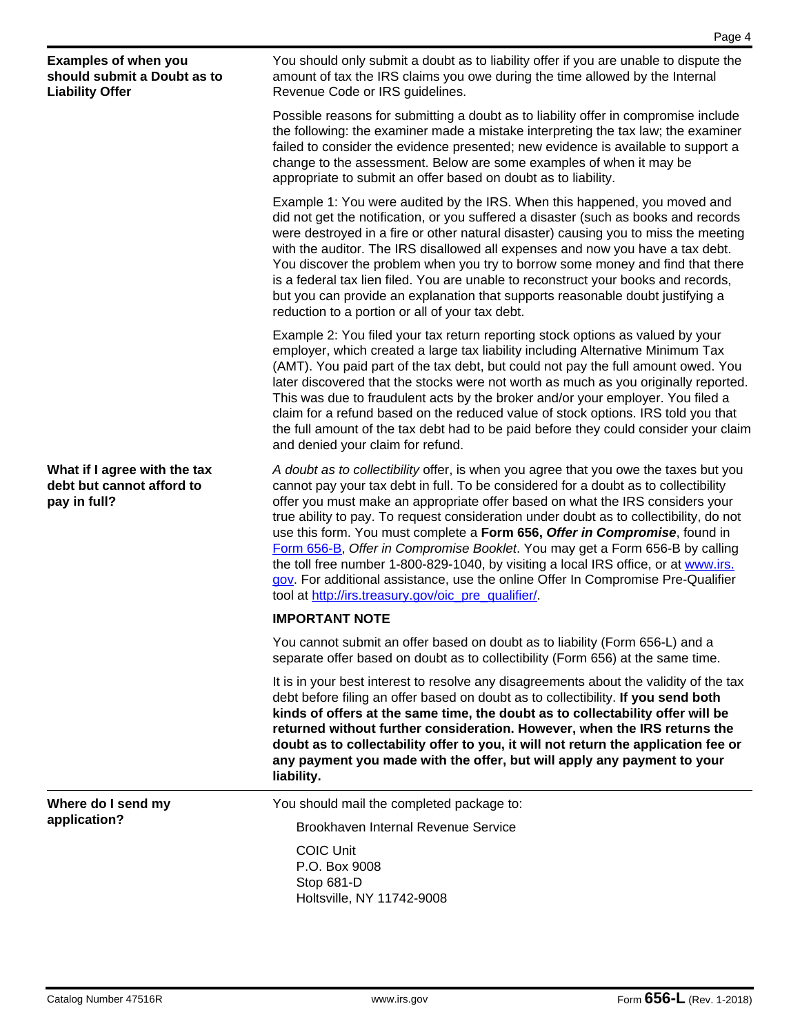Possible reasons for submitting a doubt as to liability offer in compromise include the following: the examiner made a mistake interpreting the tax law; the examiner failed to consider the evidence presented; new evidence is available to support a change to the assessment. Below are some examples of when it may be appropriate to submit an offer based on doubt as to liability.

Example 1: You were audited by the IRS. When this happened, you moved and did not get the notification, or you suffered a disaster (such as books and records were destroyed in a fire or other natural disaster) causing you to miss the meeting with the auditor. The IRS disallowed all expenses and now you have a tax debt. You discover the problem when you try to borrow some money and find that there is a federal tax lien filed. You are unable to reconstruct your books and records, but you can provide an explanation that supports reasonable doubt justifying a reduction to a portion or all of your tax debt.

Example 2: You filed your tax return reporting stock options as valued by your employer, which created a large tax liability including Alternative Minimum Tax (AMT). You paid part of the tax debt, but could not pay the full amount owed. You later discovered that the stocks were not worth as much as you originally reported. This was due to fraudulent acts by the broker and/or your employer. You filed a claim for a refund based on the reduced value of stock options. IRS told you that the full amount of the tax debt had to be paid before they could consider your claim and denied your claim for refund.

*A doubt as to collectibility* offer, is when you agree that you owe the taxes but you cannot pay your tax debt in full. To be considered for a doubt as to collectibility offer you must make an appropriate offer based on what the IRS considers your true ability to pay. To request consideration under doubt as to collectibility, do not use this form. You must complete a **Form 656,** *Offer in Compromise*, found in Form 656-B, *Offer in Compromise Booklet*. You may get a Form 656-B by calling the toll free number 1-800-829-1040, by visiting a local IRS office, or at www.irs. gov. For additional assistance, use the online Offer In Compromise Pre-Qualifier tool at http://irs.treasury.gov/oic\_pre\_qualifier/.

## **IMPORTANT NOTE**

You cannot submit an offer based on doubt as to liability (Form 656-L) and a separate offer based on doubt as to collectibility (Form 656) at the same time.

It is in your best interest to resolve any disagreements about the validity of the tax debt before filing an offer based on doubt as to collectibility. **If you send both kinds of offers at the same time, the doubt as to collectability offer will be returned without further consideration. However, when the IRS returns the doubt as to collectability offer to you, it will not return the application fee or any payment you made with the offer, but will apply any payment to your liability.**

You should mail the completed package to:

Brookhaven Internal Revenue Service

COIC Unit P.O. Box 9008 Stop 681-D Holtsville, NY 11742-9008

**Where do I send my application?**

**What if I agree with the tax debt but cannot afford to** 

**Examples of when you should submit a Doubt as to** 

**Liability Offer**

**pay in full?**

Revenue Code or IRS guidelines.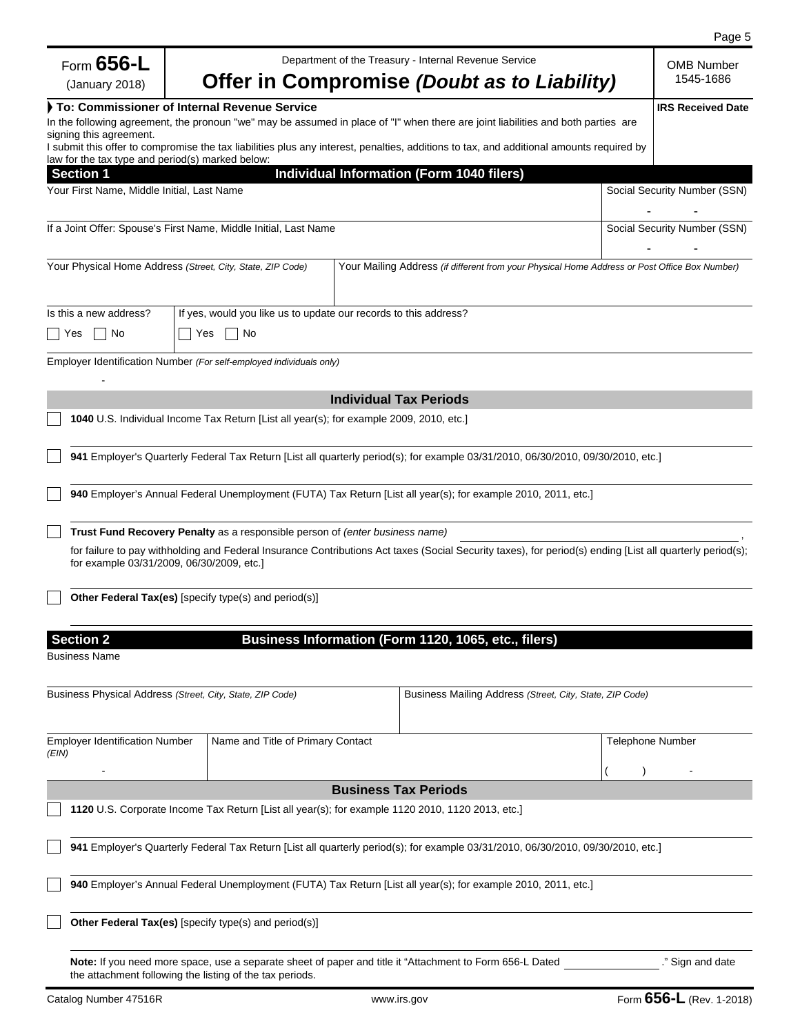|                                                |                                                                                                  |                                                                                                                                                           |                         | Page 5                         |
|------------------------------------------------|--------------------------------------------------------------------------------------------------|-----------------------------------------------------------------------------------------------------------------------------------------------------------|-------------------------|--------------------------------|
| Form $656$ -L<br>(January 2018)                |                                                                                                  | Department of the Treasury - Internal Revenue Service<br>Offer in Compromise (Doubt as to Liability)                                                      |                         | <b>OMB Number</b><br>1545-1686 |
|                                                | To: Commissioner of Internal Revenue Service                                                     |                                                                                                                                                           |                         | <b>IRS Received Date</b>       |
| signing this agreement.                        |                                                                                                  | In the following agreement, the pronoun "we" may be assumed in place of "I" when there are joint liabilities and both parties are                         |                         |                                |
|                                                |                                                                                                  | I submit this offer to compromise the tax liabilities plus any interest, penalties, additions to tax, and additional amounts required by                  |                         |                                |
| <b>Section 1</b>                               | law for the tax type and period(s) marked below:                                                 | Individual Information (Form 1040 filers)                                                                                                                 |                         |                                |
| Your First Name, Middle Initial, Last Name     |                                                                                                  |                                                                                                                                                           |                         | Social Security Number (SSN)   |
|                                                | If a Joint Offer: Spouse's First Name, Middle Initial, Last Name                                 |                                                                                                                                                           |                         | Social Security Number (SSN)   |
|                                                | Your Physical Home Address (Street, City, State, ZIP Code)                                       | Your Mailing Address (if different from your Physical Home Address or Post Office Box Number)                                                             |                         |                                |
| Is this a new address?                         | If yes, would you like us to update our records to this address?                                 |                                                                                                                                                           |                         |                                |
| No<br>Yes                                      | ∣ Yes<br>No                                                                                      |                                                                                                                                                           |                         |                                |
|                                                | Employer Identification Number (For self-employed individuals only)                              |                                                                                                                                                           |                         |                                |
|                                                |                                                                                                  | <b>Individual Tax Periods</b>                                                                                                                             |                         |                                |
|                                                | 1040 U.S. Individual Income Tax Return [List all year(s); for example 2009, 2010, etc.]          |                                                                                                                                                           |                         |                                |
|                                                |                                                                                                  | 941 Employer's Quarterly Federal Tax Return [List all quarterly period(s); for example 03/31/2010, 06/30/2010, 09/30/2010, etc.]                          |                         |                                |
|                                                |                                                                                                  | 940 Employer's Annual Federal Unemployment (FUTA) Tax Return [List all year(s); for example 2010, 2011, etc.]                                             |                         |                                |
|                                                | Trust Fund Recovery Penalty as a responsible person of (enter business name)                     |                                                                                                                                                           |                         |                                |
|                                                | for example 03/31/2009, 06/30/2009, etc.]                                                        | for failure to pay withholding and Federal Insurance Contributions Act taxes (Social Security taxes), for period(s) ending [List all quarterly period(s); |                         |                                |
|                                                | Other Federal Tax(es) [specify type(s) and period(s)]                                            |                                                                                                                                                           |                         |                                |
| <b>Section 2</b>                               |                                                                                                  | Business Information (Form 1120, 1065, etc., filers)                                                                                                      |                         |                                |
| <b>Business Name</b>                           |                                                                                                  |                                                                                                                                                           |                         |                                |
|                                                | Business Physical Address (Street, City, State, ZIP Code)                                        | Business Mailing Address (Street, City, State, ZIP Code)                                                                                                  |                         |                                |
| <b>Employer Identification Number</b><br>(EIN) | Name and Title of Primary Contact                                                                |                                                                                                                                                           | <b>Telephone Number</b> |                                |
|                                                |                                                                                                  |                                                                                                                                                           |                         |                                |
|                                                |                                                                                                  | <b>Business Tax Periods</b>                                                                                                                               |                         |                                |
|                                                | 1120 U.S. Corporate Income Tax Return [List all year(s); for example 1120 2010, 1120 2013, etc.] |                                                                                                                                                           |                         |                                |
|                                                |                                                                                                  | 941 Employer's Quarterly Federal Tax Return [List all quarterly period(s); for example 03/31/2010, 06/30/2010, 09/30/2010, etc.]                          |                         |                                |
|                                                |                                                                                                  | 940 Employer's Annual Federal Unemployment (FUTA) Tax Return [List all year(s); for example 2010, 2011, etc.]                                             |                         |                                |
|                                                | Other Federal Tax(es) [specify type(s) and period(s)]                                            |                                                                                                                                                           |                         |                                |
|                                                | the attachment following the listing of the tax periods.                                         | Note: If you need more space, use a separate sheet of paper and title it "Attachment to Form 656-L Dated                                                  |                         | ." Sign and date               |
| Catalog Number 47516R                          |                                                                                                  | www.irs.gov                                                                                                                                               |                         | Form 656-L (Rev. 1-2018)       |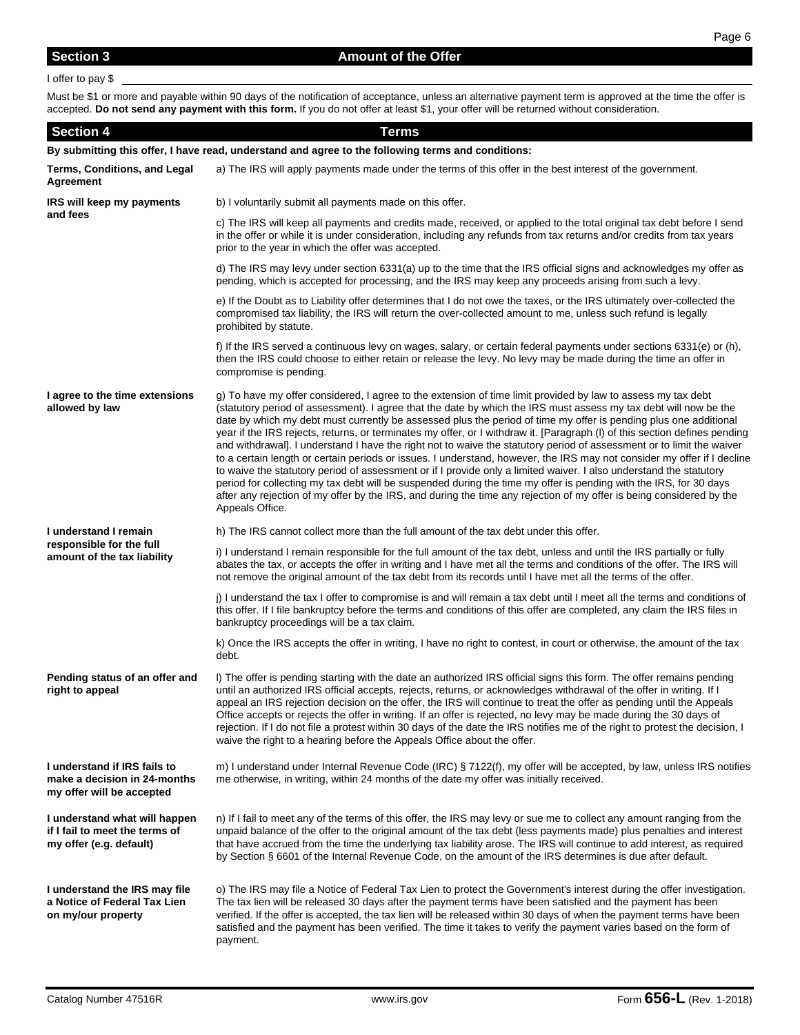### I offer to pay \$

Must be \$1 or more and payable within 90 days of the notification of acceptance, unless an alternative payment term is approved at the time the offer is accepted. **Do not send any payment with this form.** If you do not offer at least \$1, your offer will be returned without consideration.

| <b>Section 4</b>                                                                                   | <b>Terms</b>                                                                                                                                                                                                                                                                                                                                                                                                                                                                                                                                                                                                                                                                                                                                                                                                                                                                                                                                                                                                                                                                                                                 |  |  |  |
|----------------------------------------------------------------------------------------------------|------------------------------------------------------------------------------------------------------------------------------------------------------------------------------------------------------------------------------------------------------------------------------------------------------------------------------------------------------------------------------------------------------------------------------------------------------------------------------------------------------------------------------------------------------------------------------------------------------------------------------------------------------------------------------------------------------------------------------------------------------------------------------------------------------------------------------------------------------------------------------------------------------------------------------------------------------------------------------------------------------------------------------------------------------------------------------------------------------------------------------|--|--|--|
| By submitting this offer, I have read, understand and agree to the following terms and conditions: |                                                                                                                                                                                                                                                                                                                                                                                                                                                                                                                                                                                                                                                                                                                                                                                                                                                                                                                                                                                                                                                                                                                              |  |  |  |
| Terms, Conditions, and Legal<br>Agreement                                                          | a) The IRS will apply payments made under the terms of this offer in the best interest of the government.                                                                                                                                                                                                                                                                                                                                                                                                                                                                                                                                                                                                                                                                                                                                                                                                                                                                                                                                                                                                                    |  |  |  |
| IRS will keep my payments                                                                          | b) I voluntarily submit all payments made on this offer.                                                                                                                                                                                                                                                                                                                                                                                                                                                                                                                                                                                                                                                                                                                                                                                                                                                                                                                                                                                                                                                                     |  |  |  |
| and fees                                                                                           | c) The IRS will keep all payments and credits made, received, or applied to the total original tax debt before I send<br>in the offer or while it is under consideration, including any refunds from tax returns and/or credits from tax years<br>prior to the year in which the offer was accepted.                                                                                                                                                                                                                                                                                                                                                                                                                                                                                                                                                                                                                                                                                                                                                                                                                         |  |  |  |
|                                                                                                    | d) The IRS may levy under section 6331(a) up to the time that the IRS official signs and acknowledges my offer as<br>pending, which is accepted for processing, and the IRS may keep any proceeds arising from such a levy.                                                                                                                                                                                                                                                                                                                                                                                                                                                                                                                                                                                                                                                                                                                                                                                                                                                                                                  |  |  |  |
|                                                                                                    | e) If the Doubt as to Liability offer determines that I do not owe the taxes, or the IRS ultimately over-collected the<br>compromised tax liability, the IRS will return the over-collected amount to me, unless such refund is legally<br>prohibited by statute.                                                                                                                                                                                                                                                                                                                                                                                                                                                                                                                                                                                                                                                                                                                                                                                                                                                            |  |  |  |
|                                                                                                    | f) If the IRS served a continuous levy on wages, salary, or certain federal payments under sections 6331(e) or (h),<br>then the IRS could choose to either retain or release the levy. No levy may be made during the time an offer in<br>compromise is pending.                                                                                                                                                                                                                                                                                                                                                                                                                                                                                                                                                                                                                                                                                                                                                                                                                                                             |  |  |  |
| I agree to the time extensions<br>allowed by law                                                   | g) To have my offer considered, I agree to the extension of time limit provided by law to assess my tax debt<br>(statutory period of assessment). I agree that the date by which the IRS must assess my tax debt will now be the<br>date by which my debt must currently be assessed plus the period of time my offer is pending plus one additional<br>year if the IRS rejects, returns, or terminates my offer, or I withdraw it. [Paragraph (I) of this section defines pending<br>and withdrawal]. I understand I have the right not to waive the statutory period of assessment or to limit the waiver<br>to a certain length or certain periods or issues. I understand, however, the IRS may not consider my offer if I decline<br>to waive the statutory period of assessment or if I provide only a limited waiver. I also understand the statutory<br>period for collecting my tax debt will be suspended during the time my offer is pending with the IRS, for 30 days<br>after any rejection of my offer by the IRS, and during the time any rejection of my offer is being considered by the<br>Appeals Office. |  |  |  |
| I understand I remain                                                                              | h) The IRS cannot collect more than the full amount of the tax debt under this offer.                                                                                                                                                                                                                                                                                                                                                                                                                                                                                                                                                                                                                                                                                                                                                                                                                                                                                                                                                                                                                                        |  |  |  |
| responsible for the full<br>amount of the tax liability                                            | i) I understand I remain responsible for the full amount of the tax debt, unless and until the IRS partially or fully<br>abates the tax, or accepts the offer in writing and I have met all the terms and conditions of the offer. The IRS will<br>not remove the original amount of the tax debt from its records until I have met all the terms of the offer.                                                                                                                                                                                                                                                                                                                                                                                                                                                                                                                                                                                                                                                                                                                                                              |  |  |  |
|                                                                                                    | j) I understand the tax I offer to compromise is and will remain a tax debt until I meet all the terms and conditions of<br>this offer. If I file bankruptcy before the terms and conditions of this offer are completed, any claim the IRS files in<br>bankruptcy proceedings will be a tax claim.                                                                                                                                                                                                                                                                                                                                                                                                                                                                                                                                                                                                                                                                                                                                                                                                                          |  |  |  |
|                                                                                                    | k) Once the IRS accepts the offer in writing, I have no right to contest, in court or otherwise, the amount of the tax<br>debt.                                                                                                                                                                                                                                                                                                                                                                                                                                                                                                                                                                                                                                                                                                                                                                                                                                                                                                                                                                                              |  |  |  |
| Pending status of an offer and<br>right to appeal                                                  | I) The offer is pending starting with the date an authorized IRS official signs this form. The offer remains pending<br>until an authorized IRS official accepts, rejects, returns, or acknowledges withdrawal of the offer in writing. If I<br>appeal an IRS rejection decision on the offer, the IRS will continue to treat the offer as pending until the Appeals<br>Office accepts or rejects the offer in writing. If an offer is rejected, no levy may be made during the 30 days of<br>rejection. If I do not file a protest within 30 days of the date the IRS notifies me of the right to protest the decision, I<br>waive the right to a hearing before the Appeals Office about the offer.                                                                                                                                                                                                                                                                                                                                                                                                                        |  |  |  |
| I understand if IRS fails to<br>make a decision in 24-months<br>my offer will be accepted          | m) I understand under Internal Revenue Code (IRC) § 7122(f), my offer will be accepted, by law, unless IRS notifies<br>me otherwise, in writing, within 24 months of the date my offer was initially received.                                                                                                                                                                                                                                                                                                                                                                                                                                                                                                                                                                                                                                                                                                                                                                                                                                                                                                               |  |  |  |
| I understand what will happen<br>if I fail to meet the terms of<br>my offer (e.g. default)         | n) If I fail to meet any of the terms of this offer, the IRS may levy or sue me to collect any amount ranging from the<br>unpaid balance of the offer to the original amount of the tax debt (less payments made) plus penalties and interest<br>that have accrued from the time the underlying tax liability arose. The IRS will continue to add interest, as required<br>by Section § 6601 of the Internal Revenue Code, on the amount of the IRS determines is due after default.                                                                                                                                                                                                                                                                                                                                                                                                                                                                                                                                                                                                                                         |  |  |  |
| I understand the IRS may file<br>a Notice of Federal Tax Lien<br>on my/our property                | o) The IRS may file a Notice of Federal Tax Lien to protect the Government's interest during the offer investigation.<br>The tax lien will be released 30 days after the payment terms have been satisfied and the payment has been<br>verified. If the offer is accepted, the tax lien will be released within 30 days of when the payment terms have been<br>satisfied and the payment has been verified. The time it takes to verify the payment varies based on the form of<br>payment.                                                                                                                                                                                                                                                                                                                                                                                                                                                                                                                                                                                                                                  |  |  |  |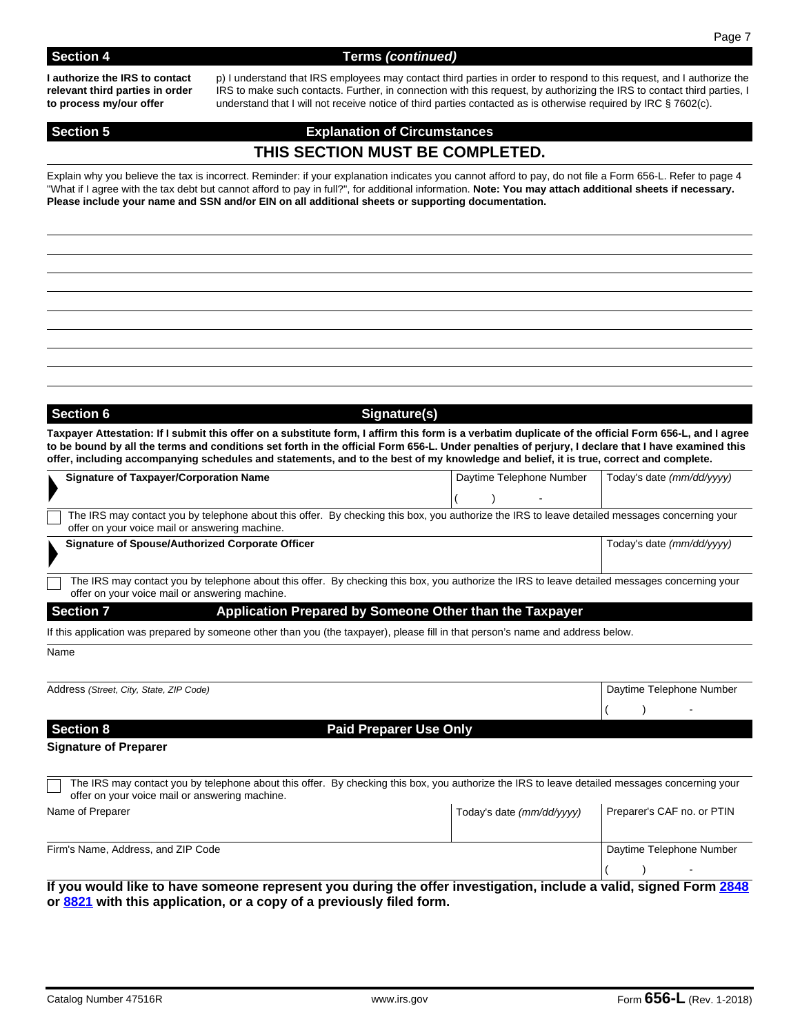### **Section 4** Terms *(continued)*

**I authorize the IRS to contact relevant third parties in order to process my/our offer**

p) I understand that IRS employees may contact third parties in order to respond to this request, and I authorize the IRS to make such contacts. Further, in connection with this request, by authorizing the IRS to contact third parties, I understand that I will not receive notice of third parties contacted as is otherwise required by IRC § 7602(c).

# **Section 5 Explanation of Circumstances THIS SECTION MUST BE COMPLETED.**

Explain why you believe the tax is incorrect. Reminder: if your explanation indicates you cannot afford to pay, do not file a Form 656-L. Refer to page 4 "What if I agree with the tax debt but cannot afford to pay in full?", for additional information. **Note: You may attach additional sheets if necessary. Please include your name and SSN and/or EIN on all additional sheets or supporting documentation.**

# Section 6 Section 6 **Signature Signature Signature Signature Signature Signature Signature Signature Signature Signature Signature Signature Signature Signature Signature Signature Signature**

**Taxpayer Attestation: If I submit this offer on a substitute form, I affirm this form is a verbatim duplicate of the official Form 656-L, and I agree to be bound by all the terms and conditions set forth in the official Form 656-L. Under penalties of perjury, I declare that I have examined this offer, including accompanying schedules and statements, and to the best of my knowledge and belief, it is true, correct and complete.**

| <b>Signature of Taxpayer/Corporation Name</b>                                                                                                                                                   | Daytime Telephone Number                                | Today's date (mm/dd/yyyy)  |
|-------------------------------------------------------------------------------------------------------------------------------------------------------------------------------------------------|---------------------------------------------------------|----------------------------|
|                                                                                                                                                                                                 |                                                         |                            |
| The IRS may contact you by telephone about this offer. By checking this box, you authorize the IRS to leave detailed messages concerning your                                                   |                                                         |                            |
| offer on your voice mail or answering machine.                                                                                                                                                  |                                                         |                            |
| Signature of Spouse/Authorized Corporate Officer                                                                                                                                                |                                                         | Today's date (mm/dd/yyyy)  |
| The IRS may contact you by telephone about this offer. By checking this box, you authorize the IRS to leave detailed messages concerning your<br>offer on your voice mail or answering machine. |                                                         |                            |
| <b>Section 7</b>                                                                                                                                                                                | Application Prepared by Someone Other than the Taxpayer |                            |
| If this application was prepared by someone other than you (the taxpayer), please fill in that person's name and address below.                                                                 |                                                         |                            |
| Name                                                                                                                                                                                            |                                                         |                            |
|                                                                                                                                                                                                 |                                                         |                            |
| Address (Street, City, State, ZIP Code)                                                                                                                                                         |                                                         | Daytime Telephone Number   |
|                                                                                                                                                                                                 |                                                         |                            |
| <b>Section 8</b>                                                                                                                                                                                | <b>Paid Preparer Use Only</b>                           |                            |
| <b>Signature of Preparer</b>                                                                                                                                                                    |                                                         |                            |
|                                                                                                                                                                                                 |                                                         |                            |
| The IRS may contact you by telephone about this offer. By checking this box, you authorize the IRS to leave detailed messages concerning your<br>offer on your voice mail or answering machine. |                                                         |                            |
| Name of Preparer                                                                                                                                                                                | Today's date (mm/dd/yyyy)                               | Preparer's CAF no. or PTIN |
|                                                                                                                                                                                                 |                                                         |                            |
| Firm's Name, Address, and ZIP Code                                                                                                                                                              |                                                         | Daytime Telephone Number   |
|                                                                                                                                                                                                 |                                                         |                            |
| If you would like to have someone represent you during the offer investigation, include a valid, signed Form 2848                                                                               |                                                         |                            |
| or 8821 with this application, or a copy of a previously filed form.                                                                                                                            |                                                         |                            |